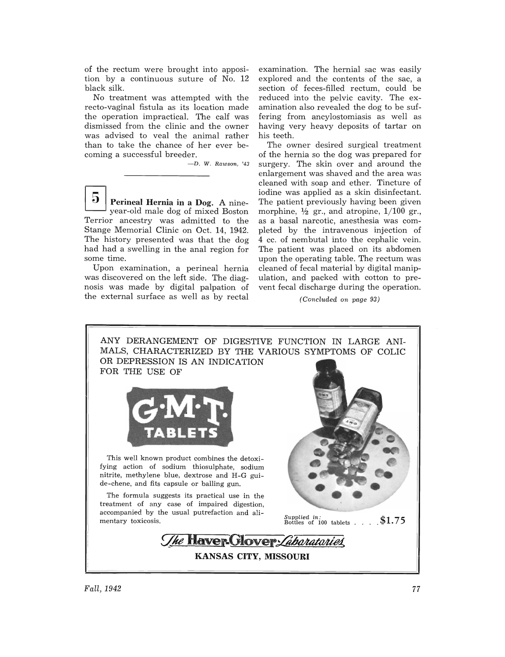of the rectum were brought into apposition by a continuous suture of No. 12 black silk.

No treatment was attempted with the recto-vaginal fistula as its location made the operation impractical. The calf was dismissed from the clinic and the owner was advised to veal the animal rather than to take the chance of her ever becoming a successful breeder.

*- D.* W. *Rawson, '43* 

 $\mathbf{\Theta}$  Perineal Hernia in a Dog. A nineyear-old male dog of mixed Boston Terrior ancestry was admitted to the Stange Memorial Clinic on Oct. 14, 1942. The history presented was that the dog had had a swelling in the anal region for some time.

Upon examination, a perineal hernia was discovered on the left side. The diagnosis was made by digital palpation of the external surface as well as by rectal examination. The hernial sac was easily explored and the contents of the sac, a section of feces-filled rectum, could be reduced into the pelvic cavity. The examination also revealed the dog to be suffering from ancylostomiasis as well as having very heavy deposits of tartar on his teeth.

The owner desired surgical treatment of the hernia so the dog was prepared for surgery. The skin over and around the enlargement was shaved and the area was cleaned with soap and ether. Tincture of iodine was applied as a skin disinfectant. The patient previously having been given morphine,  $\frac{1}{2}$  gr., and atropine,  $1/100$  gr., as a basal narcotic, anesthesia was completed by the intravenous injection of 4 cc. of nembutal into the cephalic vein. The patient was placed on its abdomen upon the operating table. The rectum was cleaned of fecal material by digital manipulation, and packed with cotton to prevent fecal discharge during the operation.

*(Concluded on page 93)*